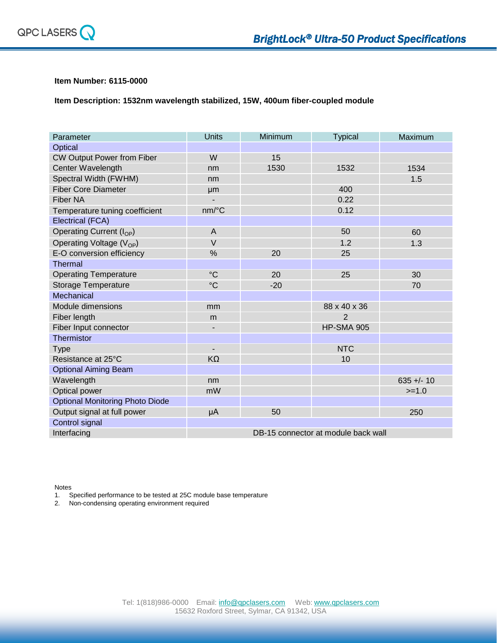

## **Item Number: 6115-0000**

**Item Description: 1532nm wavelength stabilized, 15W, 400um fiber-coupled module**

| Parameter                              | <b>Units</b>                        | Minimum | <b>Typical</b>    | Maximum      |
|----------------------------------------|-------------------------------------|---------|-------------------|--------------|
| Optical                                |                                     |         |                   |              |
| <b>CW Output Power from Fiber</b>      | W                                   | 15      |                   |              |
| Center Wavelength                      | nm                                  | 1530    | 1532              | 1534         |
| Spectral Width (FWHM)                  | nm                                  |         |                   | 1.5          |
| <b>Fiber Core Diameter</b>             | µm                                  |         | 400               |              |
| <b>Fiber NA</b>                        | $\overline{\phantom{0}}$            |         | 0.22              |              |
| Temperature tuning coefficient         | nm/°C                               |         | 0.12              |              |
| Electrical (FCA)                       |                                     |         |                   |              |
| Operating Current (I <sub>OP</sub> )   | $\overline{A}$                      |         | 50                | 60           |
| Operating Voltage (V <sub>OP</sub> )   | $\vee$                              |         | 1.2               | 1.3          |
| E-O conversion efficiency              | %                                   | 20      | 25                |              |
| Thermal                                |                                     |         |                   |              |
| <b>Operating Temperature</b>           | $\rm ^{\circ}C$                     | 20      | 25                | 30           |
| <b>Storage Temperature</b>             | $\rm ^{\circ}C$                     | $-20$   |                   | 70           |
| Mechanical                             |                                     |         |                   |              |
| Module dimensions                      | mm                                  |         | 88 x 40 x 36      |              |
| Fiber length                           | m                                   |         | $\overline{2}$    |              |
| Fiber Input connector                  | -                                   |         | <b>HP-SMA 905</b> |              |
| Thermistor                             |                                     |         |                   |              |
| <b>Type</b>                            | -                                   |         | <b>NTC</b>        |              |
| Resistance at 25°C                     | $K\Omega$                           |         | 10                |              |
| <b>Optional Aiming Beam</b>            |                                     |         |                   |              |
| Wavelength                             | nm                                  |         |                   | $635 +/- 10$ |
| Optical power                          | mW                                  |         |                   | $>=1.0$      |
| <b>Optional Monitoring Photo Diode</b> |                                     |         |                   |              |
| Output signal at full power            | μA                                  | 50      |                   | 250          |
| Control signal                         |                                     |         |                   |              |
| Interfacing                            | DB-15 connector at module back wall |         |                   |              |

Notes

1. Specified performance to be tested at 25C module base temperature

2. Non-condensing operating environment required